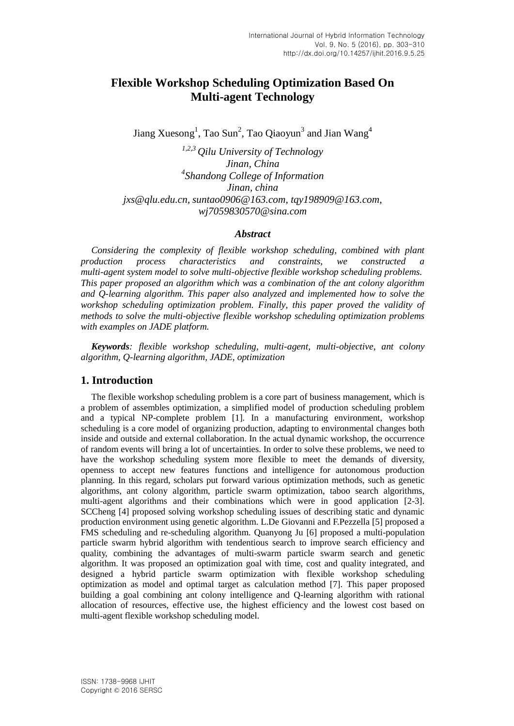# **Flexible Workshop Scheduling Optimization Based On Multi-agent Technology**

Jiang Xuesong<sup>1</sup>, Tao Sun<sup>2</sup>, Tao Qiaoyun<sup>3</sup> and Jian Wang<sup>4</sup>

*1,2,3 Qilu University of Technology Jinan, China 4 Shandong College of Information Jinan, china [jxs@qlu.edu.cn,](mailto:jxs@qlu.edu.cn) [suntao0906@163.com,](mailto:suntao0906@163.com) [tqy198909@163.com,](mailto:tqy198909@163.com) wj7059830570@sina.com*

#### *Abstract*

*Considering the complexity of flexible workshop scheduling, combined with plant production process characteristics and constraints, we constructed a multi-agent system model to solve multi-objective flexible workshop scheduling problems. This paper proposed an algorithm which was a combination of the ant colony algorithm and Q-learning algorithm. This paper also analyzed and implemented how to solve the workshop scheduling optimization problem. Finally, this paper proved the validity of methods to solve the multi-objective flexible workshop scheduling optimization problems with examples on JADE platform.*

*Keywords: flexible workshop scheduling, multi-agent, multi-objective, ant colony algorithm, Q-learning algorithm, JADE, optimization*

### **1. Introduction**

The flexible workshop scheduling problem is a core part of business management, which is a problem of assembles optimization, a simplified model of production scheduling problem and a typical NP-complete problem [1]. In a manufacturing environment, workshop scheduling is a core model of organizing production, adapting to environmental changes both inside and outside and external collaboration. In the actual dynamic workshop, the occurrence of random events will bring a lot of uncertainties. In order to solve these problems, we need to have the workshop scheduling system more flexible to meet the demands of diversity, openness to accept new features functions and intelligence for autonomous production planning. In this regard, scholars put forward various optimization methods, such as genetic algorithms, ant colony algorithm, particle swarm optimization, taboo search algorithms, multi-agent algorithms and their combinations which were in good application [2-3]. SCCheng [4] proposed solving workshop scheduling issues of describing static and dynamic production environment using genetic algorithm. L.De Giovanni and F.Pezzella [5] proposed a FMS scheduling and re-scheduling algorithm. Quanyong Ju [6] proposed a multi-population particle swarm hybrid algorithm with tendentious search to improve search efficiency and quality, combining the advantages of multi-swarm particle swarm search and genetic algorithm. It was proposed an optimization goal with time, cost and quality integrated, and designed a hybrid particle swarm optimization with flexible workshop scheduling optimization as model and optimal target as calculation method [7]. This paper proposed building a goal combining ant colony intelligence and Q-learning algorithm with rational allocation of resources, effective use, the highest efficiency and the lowest cost based on multi-agent flexible workshop scheduling model.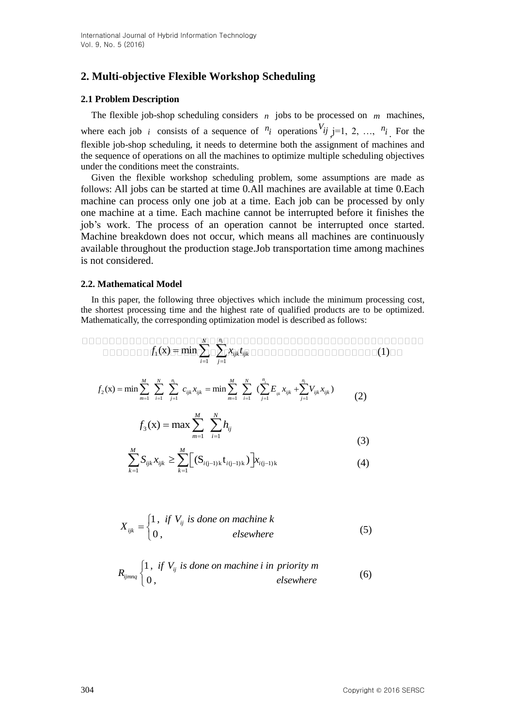# **2. Multi-objective Flexible Workshop Scheduling**

## **2.1 Problem Description**

The flexible job-shop scheduling considers  $n$  jobs to be processed on  $m$  machines, where each job *i* consists of a sequence of  $n_i$  operations  $V_{ij}$  j=1, 2, ...,  $n_i$ . For the flexible job-shop scheduling, it needs to determine both the assignment of machines and the sequence of operations on all the machines to optimize multiple scheduling objectives under the conditions meet the constraints.

Given the flexible workshop scheduling problem, some assumptions are made as follows: All jobs can be started at time 0.All machines are available at time 0.Each machine can process only one job at a time. Each job can be processed by only one machine at a time. Each machine cannot be interrupted before it finishes the job's work. The process of an operation cannot be interrupted once started. Machine breakdown does not occur, which means all machines are continuously available throughout the production stage.Job transportation time among machines is not considered.

## **2.2. Mathematical Model**

In this paper, the following three objectives which include the minimum processing cost, the shortest processing time and the highest rate of qualified products are to be optimized. Mathematically, the corresponding optimization model is described as follows:

 *<sup>i</sup> N n f x t* (x) min (1) *ijk ijk* 1 *i j* 1 1

$$
f_2(\mathbf{x}) = \min \sum_{m=1}^{M} \sum_{i=1}^{N} \sum_{j=1}^{n_i} c_{ijk} x_{ijk} = \min \sum_{m=1}^{M} \sum_{i=1}^{N} (\sum_{j=1}^{n_i} E_{ijk} x_{ijk} + \sum_{j=1}^{n_i} V_{ijk} x_{ijk})
$$
(2)

$$
f_3(x) = \max \sum_{m=1}^{M} \sum_{i=1}^{N} h_{ij}
$$
 (3)

(3)  

$$
\sum_{k=1}^{M} S_{ijk} x_{ijk} \ge \sum_{k=1}^{M} \Big[ (S_{i(j-1)k} t_{i(j-1)k}) \Big] x_{i(j-1)k}
$$

$$
X_{ijk} = \begin{cases} 1, & \text{if } V_{ij} \text{ is done on machine } k \\ 0, & \text{elsewhere} \end{cases}
$$
 (5)

$$
R_{ijmnq} \begin{cases} 1, & \text{if } V_{ij} \text{ is done on machine i in priority } m \\ 0, & \text{elsewhere} \end{cases}
$$
 (6)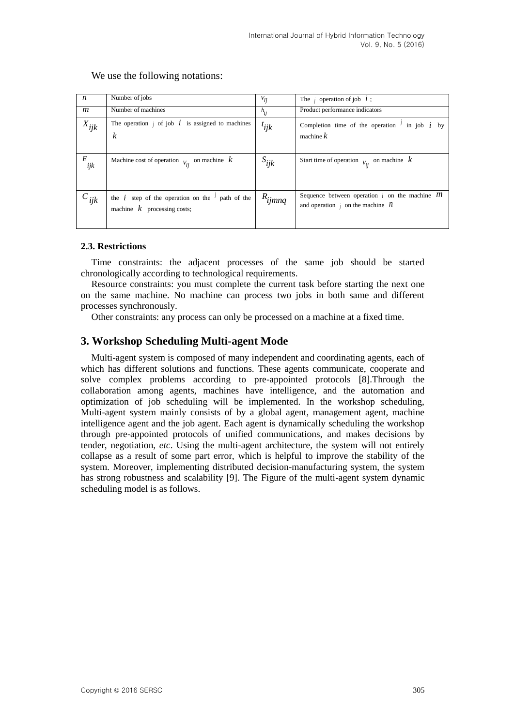| $\boldsymbol{n}$ | Number of jobs                                                                             | $V_{ij}$    | The <i>i</i> operation of job $i$ ;                                                                      |
|------------------|--------------------------------------------------------------------------------------------|-------------|----------------------------------------------------------------------------------------------------------|
|                  |                                                                                            |             |                                                                                                          |
| $\mathfrak{m}$   | Number of machines                                                                         | $h_{ij}$    | Product performance indicators                                                                           |
| $X_{ijk}$        | The operation $\beta$ of job $\dot{i}$ is assigned to machines<br>$\boldsymbol{k}$         | $t_{ijk}$   | Completion time of the operation $\frac{1}{2}$ in job $i$ by<br>machine $k$                              |
| E<br>ijk         | Machine cost of operation $V_{ii}$ on machine $k$                                          | $S_{ijk}$   | Start time of operation $V_{\text{L}}$ on machine $k$                                                    |
| $c_{ijk}$        | the $i$ step of the operation on the $\prime$ path of the<br>machine $k$ processing costs; | $R_{ijmnq}$ | Sequence between operation $\phi$ on the machine <i>M</i><br>and operation $\beta$ on the machine $\eta$ |

We use the following notations:

### **2.3. Restrictions**

Time constraints: the adjacent processes of the same job should be started chronologically according to technological requirements.

Resource constraints: you must complete the current task before starting the next one on the same machine. No machine can process two jobs in both same and different processes synchronously.

Other constraints: any process can only be processed on a machine at a fixed time.

## **3. Workshop Scheduling Multi-agent Mode**

Multi-agent system is composed of many independent and coordinating agents, each of which has different solutions and functions. These agents communicate, cooperate and solve complex problems according to pre-appointed protocols [8].Through the collaboration among agents, machines have intelligence, and the automation and optimization of job scheduling will be implemented. In the workshop scheduling, Multi-agent system mainly consists of by a global agent, management agent, machine intelligence agent and the job agent. Each agent is dynamically scheduling the workshop through pre-appointed protocols of unified communications, and makes decisions by tender, negotiation, *etc*. Using the multi-agent architecture, the system will not entirely collapse as a result of some part error, which is helpful to improve the stability of the system. Moreover, implementing distributed decision-manufacturing system, the system has strong robustness and scalability [9]. The Figure of the multi-agent system dynamic scheduling model is as follows.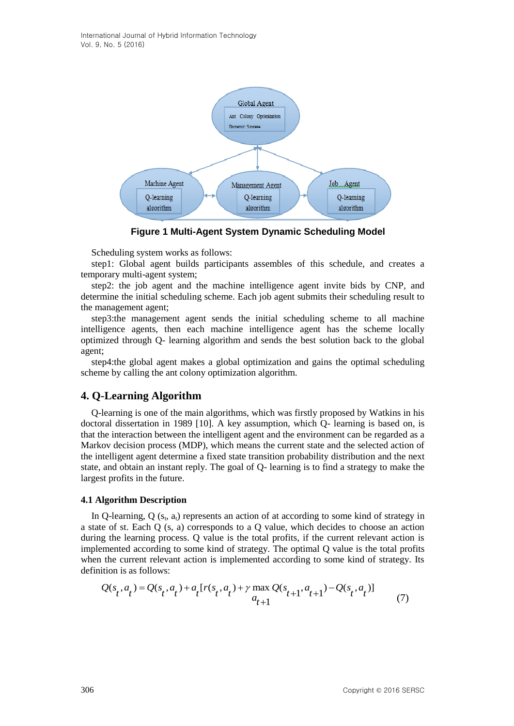International Journal of Hybrid Information Technology Vol. 9, No. 5 (2016)



**Figure 1 Multi-Agent System Dynamic Scheduling Model**

Scheduling system works as follows:

step1: Global agent builds participants assembles of this schedule, and creates a temporary multi-agent system;

step2: the job agent and the machine intelligence agent invite bids by CNP, and determine the initial scheduling scheme. Each job agent submits their scheduling result to the management agent;

step3:the management agent sends the initial scheduling scheme to all machine intelligence agents, then each machine intelligence agent has the scheme locally optimized through Q- learning algorithm and sends the best solution back to the global agent;

step4:the global agent makes a global optimization and gains the optimal scheduling scheme by calling the ant colony optimization algorithm.

### **4. Q-Learning Algorithm**

Q-learning is one of the main algorithms, which was firstly proposed by Watkins in his doctoral dissertation in 1989 [10]. A key assumption, which Q- learning is based on, is that the interaction between the intelligent agent and the environment can be regarded as a Markov decision process (MDP), which means the current state and the selected action of the intelligent agent determine a fixed state transition probability distribution and the next state, and obtain an instant reply. The goal of Q- learning is to find a strategy to make the largest profits in the future.

#### **4.1 Algorithm Description**

In Q-learning,  $Q(s_t, a_t)$  represents an action of at according to some kind of strategy in a state of st. Each Q (s, a) corresponds to a Q value, which decides to choose an action during the learning process. Q value is the total profits, if the current relevant action is implemented according to some kind of strategy. The optimal Q value is the total profits when the current relevant action is implemented according to some kind of strategy. Its definition is as follows:<br>  $Q(s_t, a_t) = Q(s_t, a_t) + a_t [r(s_t, a_t) + \gamma \max_{a_{t+1}} Q(s_{t+1}, a_{t+1}) - Q(s_t, a_t)]$  (7) definition is as follows:

definition is as follows:  
\n
$$
Q(s_t, a_t) = Q(s_t, a_t) + a_t [r(s_t, a_t) + \gamma \max_{a_{t+1}} Q(s_{t+1}, a_{t+1}) - Q(s_t, a_t)]
$$
\n(7)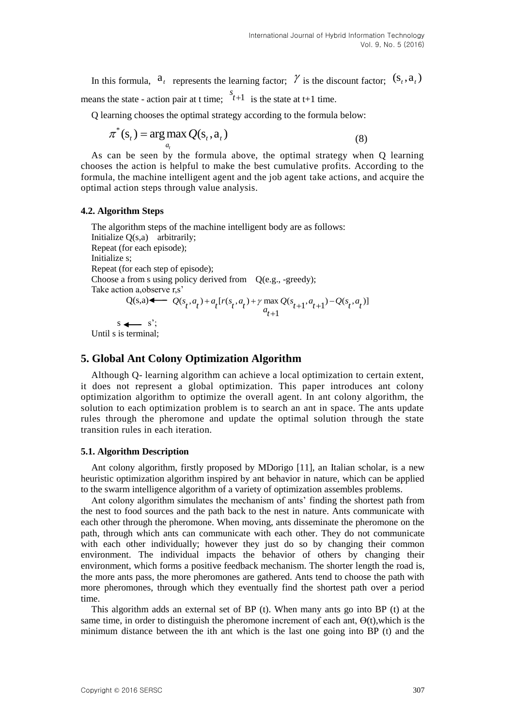In this formula,  $a_t$  represents the learning factor;  $\gamma$  is the discount factor;  $(s_t, a_t)$ means the state - action pair at t time;  $\int_{t+1}^{s}$  is the state at t+1 time.

Q learning chooses the optimal strategy according to the formula below:

$$
\pi^*(s_t) = \arg\max_{a_t} Q(s_t, a_t)
$$
\n(8)

As can be seen by the formula above, the optimal strategy when Q learning chooses the action is helpful to make the best cumulative profits. According to the formula, the machine intelligent agent and the job agent take actions, and acquire the optimal action steps through value analysis.

### **4.2. Algorithm Steps**

The algorithm steps of the machine intelligent body are as follows: Initialize Q(s,a) arbitrarily; Repeat (for each episode); Initialize s; Repeat (for each step of episode); Choose a from s using policy derived from Q(e.g., -greedy); Take action a,observe r,s'  $Q(s,a)$ ( $s_t$ ,  $a_t$ ) +  $a_t$ [ $r(s_t, a_t)$  +  $\gamma$  max  $Q(s_{t+1}, a_{t+1}) - Q(s_t, a_t)$ ]<br>  $a_{t+1}$ *r*<sub>5</sub><sup>3</sup><br>  $Q(s_t, a_t) + a_t [r(s_t, a_t) + \gamma \max_{a_{t+1}} Q(s_{t+1}, a_{t+1}) - Q(s_t, a_t)]$  $+ a_t [r(s_t, a_t) + \gamma \max_{a_{t+1}} Q(s_{t+1}, a_{t+1}) - Q(s_t, a_t)]$  $s \leftarrow s$ ;

Until s is terminal;

## **5. Global Ant Colony Optimization Algorithm**

Although Q- learning algorithm can achieve a local optimization to certain extent, it does not represent a global optimization. This paper introduces ant colony optimization algorithm to optimize the overall agent. In ant colony algorithm, the solution to each optimization problem is to search an ant in space. The ants update rules through the pheromone and update the optimal solution through the state transition rules in each iteration.

### **5.1. Algorithm Description**

Ant colony algorithm, firstly proposed by MDorigo [11], an Italian scholar, is a new heuristic optimization algorithm inspired by ant behavior in nature, which can be applied to the swarm intelligence algorithm of a variety of optimization assembles problems.

Ant colony algorithm simulates the mechanism of ants' finding the shortest path from the nest to food sources and the path back to the nest in nature. Ants communicate with each other through the pheromone. When moving, ants disseminate the pheromone on the path, through which ants can communicate with each other. They do not communicate with each other individually; however they just do so by changing their common environment. The individual impacts the behavior of others by changing their environment, which forms a positive feedback mechanism. The shorter length the road is, the more ants pass, the more pheromones are gathered. Ants tend to choose the path with more pheromones, through which they eventually find the shortest path over a period time.

This algorithm adds an external set of BP (t). When many ants go into BP (t) at the same time, in order to distinguish the pheromone increment of each ant,  $\Theta(t)$ , which is the minimum distance between the ith ant which is the last one going into BP (t) and the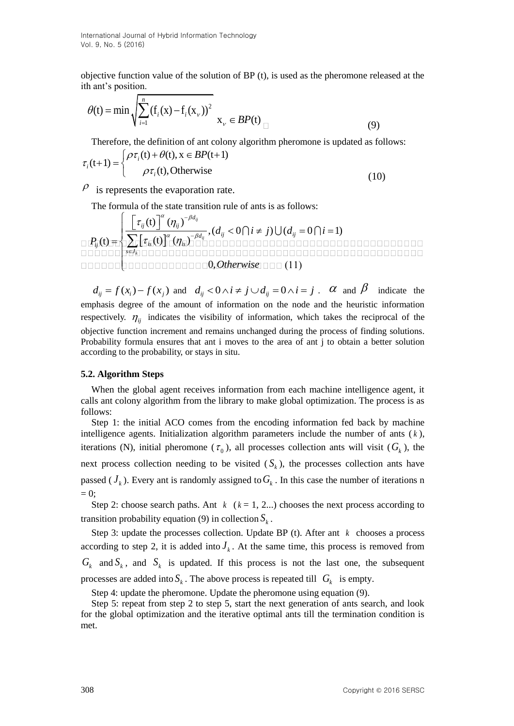International Journal of Hybrid Information Technology Vol. 9, No. 5 (2016)

objective function value of the solution of BP (t), is used as the pheromone released at the ith ant's position.

$$
\theta(t) = \min \sqrt{\sum_{i=1}^{n} (f_i(x) - f_i(x))^{2}} x_{\nu} \in BP(t) \tag{9}
$$

Therefore, the definition of ant colony algorithm pheromone is updated as follows:  
\n
$$
\tau_i(t+1) = \begin{cases}\n\rho \tau_i(t) + \theta(t), x \in BP(t+1) \\
\rho \tau_i(t), \text{Otherwise}\n\end{cases}
$$
\n(10)

 $\varphi$  is represents the evaporation rate.

The formula of the state transition rule of ants is as follows:

The formula of the state transition rule of the state transition rule of the state transition rule of the state transition rule of the state transition rule of the initial state. The formula of the state transition rule of the initial state is as follows:\n
$$
\frac{\left[\tau_{ij}(t)\right]^{\alpha}(\eta_{ij})^{-\beta d_{ij}}}{\sum_{i} [\tau_{ij}(t)]^{\alpha}(\eta_{ij})^{-\beta d_{ij}}},\n(d_{ij} < 0 \cap i \neq j) \cup (d_{ij} = 0 \cap i = 1)
$$
\n
$$
\frac{\prod_{j} \tau_{ij}(t) + \prod_{j} \tau_{ij}(t) \prod_{j} (\eta_{ij})^{-\beta d_{ij}}}{\prod_{j} \tau_{ij}(t) \prod_{j} (\eta_{ij})^{-\beta d_{ij}}}.
$$

$$
d_{ij} = f(x_i) - f(x_j)
$$
 and  $d_{ij} < 0 \land i \neq j \cup d_{ij} = 0 \land i = j$ .  $\alpha$  and  $\beta$  indicate the emphasis degree of the amount of information on the node and the heuristic information respectively.  $\eta_{ij}$  indicates the visibility of information, which takes the reciprocal of the objective function increment and remains unchanged during the process of finding solutions. Probability formula ensures that ant i moves to the area of ant j to obtain a better solution according to the probability, or stays in situ.

#### **5.2. Algorithm Steps**

When the global agent receives information from each machine intelligence agent, it calls ant colony algorithm from the library to make global optimization. The process is as follows:

Step 1: the initial ACO comes from the encoding information fed back by machine intelligence agents. Initialization algorithm parameters include the number of ants ( *k* ), iterations (N), initial pheromone ( $\tau_0$ ), all processes collection ants will visit ( $G_k$ ), the next process collection needing to be visited  $(S_k)$ , the processes collection ants have passed ( $J_k$ ). Every ant is randomly assigned to  $G_k$ . In this case the number of iterations n  $= 0$ :

Step 2: choose search paths. Ant  $k$  ( $k = 1, 2...$ ) chooses the next process according to transition probability equation (9) in collection  $S_k$ .

Step 3: update the processes collection. Update BP  $(t)$ . After ant  $k$  chooses a process according to step 2, it is added into  $J_k$ . At the same time, this process is removed from  $G_k$  and  $S_k$ , and  $S_k$  is updated. If this process is not the last one, the subsequent processes are added into  $S_k$ . The above process is repeated till  $G_k$  is empty.

Step 4: update the pheromone. Update the pheromone using equation (9).

Step 5: repeat from step 2 to step 5, start the next generation of ants search, and look for the global optimization and the iterative optimal ants till the termination condition is met.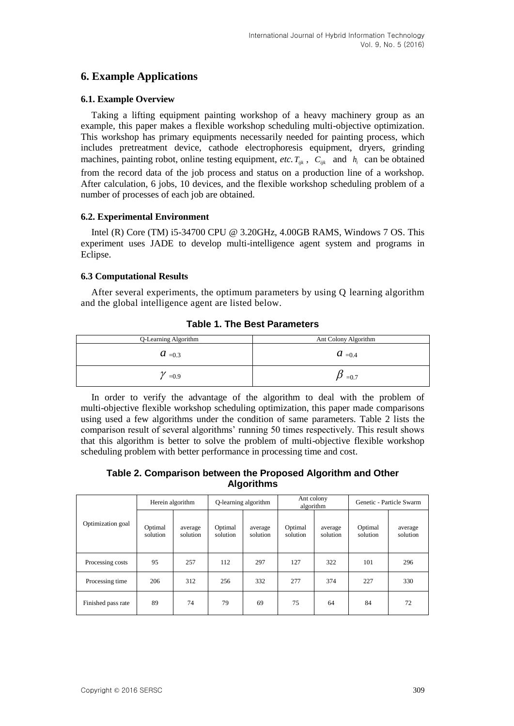## **6. Example Applications**

### **6.1. Example Overview**

Taking a lifting equipment painting workshop of a heavy machinery group as an example, this paper makes a flexible workshop scheduling multi-objective optimization. This workshop has primary equipments necessarily needed for painting process, which includes pretreatment device, cathode electrophoresis equipment, dryers, grinding machines, painting robot, online testing equipment, *etc.*  $T_{ijk}$ ,  $C_{ijk}$  and  $h_i$  can be obtained from the record data of the job process and status on a production line of a workshop. After calculation, 6 jobs, 10 devices, and the flexible workshop scheduling problem of a number of processes of each job are obtained.

## **6.2. Experimental Environment**

Intel (R) Core (TM) i5-34700 CPU @ 3.20GHz, 4.00GB RAMS, Windows 7 OS. This experiment uses JADE to develop multi-intelligence agent system and programs in Eclipse.

## **6.3 Computational Results**

After several experiments, the optimum parameters by using Q learning algorithm and the global intelligence agent are listed below.

## **Table 1. The Best Parameters**

| Q-Learning Algorithm | Ant Colony Algorithm          |  |  |  |
|----------------------|-------------------------------|--|--|--|
| $a_{\text{ }=0.3}$   | $a_{\scriptscriptstyle{0.4}}$ |  |  |  |
| $=0.9$               | $=0.7$                        |  |  |  |

In order to verify the advantage of the algorithm to deal with the problem of multi-objective flexible workshop scheduling optimization, this paper made comparisons using used a few algorithms under the condition of same parameters. Table 2 lists the comparison result of several algorithms' running 50 times respectively. This result shows that this algorithm is better to solve the problem of multi-objective flexible workshop scheduling problem with better performance in processing time and cost.

**Table 2. Comparison between the Proposed Algorithm and Other Algorithms**

|                    | Herein algorithm    |                     | Q-learning algorithm |                     | Ant colony<br>algorithm |                     | Genetic - Particle Swarm |                     |
|--------------------|---------------------|---------------------|----------------------|---------------------|-------------------------|---------------------|--------------------------|---------------------|
| Optimization goal  | Optimal<br>solution | average<br>solution | Optimal<br>solution  | average<br>solution | Optimal<br>solution     | average<br>solution | Optimal<br>solution      | average<br>solution |
| Processing costs   | 95                  | 257                 | 112                  | 297                 | 127                     | 322                 | 101                      | 296                 |
| Processing time    | 206                 | 312                 | 256                  | 332                 | 277                     | 374                 | 227                      | 330                 |
| Finished pass rate | 89                  | 74                  | 79                   | 69                  | 75                      | 64                  | 84                       | 72                  |